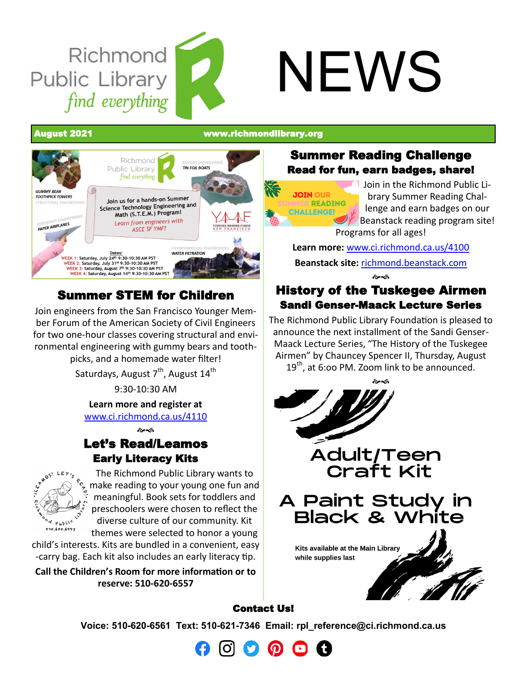# Richmond Public Library find everything

# NEWS

August 2021 [www.richmondlibrary.org](http://www.richmondlibrary.org)



### Summer STEM for Children

Join engineers from the San Francisco Younger Member Forum of the American Society of Civil Engineers for two one-hour classes covering structural and environmental engineering with gummy bears and toothpicks, and a homemade water filter!

Saturdays, August 7<sup>th</sup>, August 14<sup>th</sup>

9:30-10:30 AM

**Learn more and register at** 

[www.ci.richmond.ca.us/4110](http://www.ci.richmond.ca.us/4110/Summer-Programs)

 $A^{\mathcal{A}}$ 

### Let's Read/Leamos Early Literacy Kits



The Richmond Public Library wants to make reading to your young one fun and meaningful. Book sets for toddlers and preschoolers were chosen to reflect the diverse culture of our community. Kit themes were selected to honor a young

child's interests. Kits are bundled in a convenient, easy -carry bag. Each kit also includes an early literacy tip.

**Call the Children's Room for more information or to reserve: 510-620-6557**

### Summer Reading Challenge Read for fun, earn badges, share!

**JOIN OUR** SUMMER READING **CHALLENGE!** 

Join in the Richmond Public Library Summer Reading Challenge and earn badges on our Beanstack reading program site! Programs for all ages!

**Learn more:** [www.ci.richmond.ca.us/4100](http://www.ci.richmond.ca.us/4100/Reading-Challenges) **Beanstack site:** [richmond.beanstack.com](https://richmond.beanstack.com/)  $\sim$ 

### History of the Tuskegee Airmen Sandi Genser-Maack Lecture Series

The Richmond Public Library Foundation is pleased to announce the next installment of the Sandi Genser-Maack Lecture Series, "The History of the Tuskegee Airmen" by Chauncey Spencer II, Thursday, August  $19<sup>th</sup>$ , at 6:00 PM. Zoom link to be announced.



### Contact Us!

**Voice: 510-620-6561 Text: 510-621-7346 Email: [rpl\\_reference@ci.richmond.ca.us](mailto:rpl_reference@ci.richmond.ca.us)**